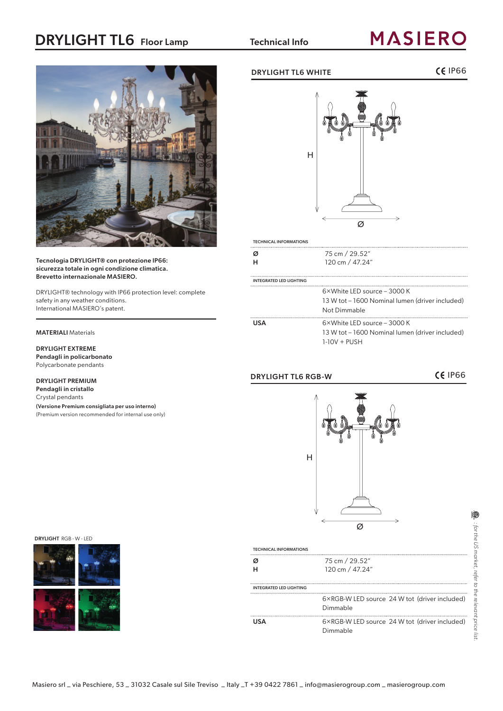# DRYLIGHT TL6 Floor Lamp Technical Info

# **MASIERO**



Tecnologia DRYLIGHT® con protezione IP66: sicurezza totale in ogni condizione climatica. Brevetto internazionale MASIERO.

DRYLIGHT® technology with IP66 protection level: complete safety in any weather conditions. International MASIERO's patent.

#### MATERIALI Materials

## DRYLIGHT EXTREME

Pendagli in policarbonato Polycarbonate pendants

#### DRYLIGHT PREMIUM

Pendagli in cristallo Crystal pendants

(Versione Premium consigliata per uso interno) (Premium version recommended for internal use only)

## DRYLIGHT TL6 WHITE **IP66**





| <b>TECHNICAL INFORMATIONS</b>  |                                                                                                           |
|--------------------------------|-----------------------------------------------------------------------------------------------------------|
| Ø<br>н                         | 75 cm / 29.52"<br>120 cm / 47.24"                                                                         |
| <b>INTEGRATED LED LIGHTING</b> |                                                                                                           |
|                                | $6 \times$ White LED source – 3000 K<br>13 W tot – 1600 Nominal lumen (driver included)<br>Not Dimmable   |
| <b>USA</b>                     | $6 \times$ White LED source – 3000 K<br>13 W tot – 1600 Nominal lumen (driver included)<br>$1-10V + PUSH$ |

## DRYLIGHT TL6 RGB-W **CE IP66**

Ø H

DRYLIGHT RGB - W - LED



| <b>TECHNICAL INFORMATIONS</b> |                                                           |
|-------------------------------|-----------------------------------------------------------|
|                               | 75 cm / 29.52"<br>120 cm / 47.24"                         |
| INTEGRATED LED LIGHTING       |                                                           |
|                               | 6×RGB-W LED source 24 W tot (driver included)<br>Dimmable |
| <b>USA</b>                    | 6×RGB-W LED source 24 W tot (driver included)<br>Dimmable |

|⊜